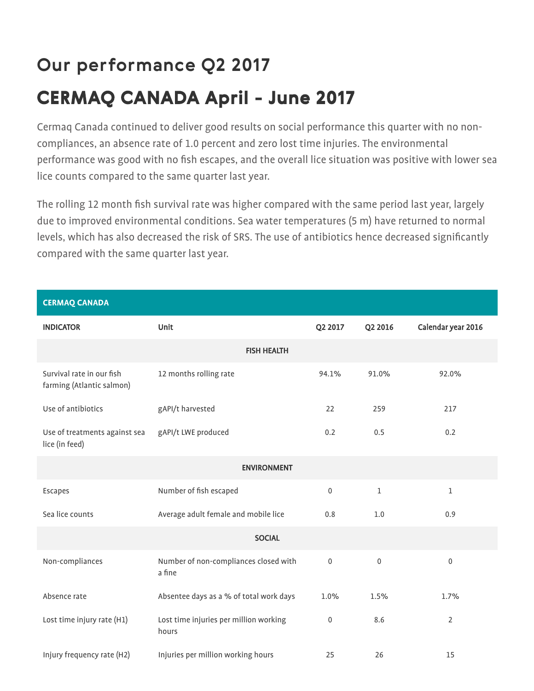# **Our performance Q2 2017**

## **CERMAQ CANADA April - June 2017**

Cermaq Canada continued to deliver good results on social performance this quarter with no noncompliances, an absence rate of 1.0 percent and zero lost time injuries. The environmental performance was good with no fish escapes, and the overall lice situation was positive with lower sea lice counts compared to the same quarter last year.

The rolling 12 month fish survival rate was higher compared with the same period last year, largely due to improved environmental conditions. Sea water temperatures (5 m) have returned to normal levels, which has also decreased the risk of SRS. The use of antibiotics hence decreased significantly compared with the same quarter last year.

CERMAQ CANADA INDICATOR Unit Q2 2017 Q2 2016 Calendar year 2016 FISH HEALTH Survival rate in our fish farming (Atlantic salmon) 12 months rolling rate 94.1% 91.0% 92.0% Use of antibiotics example and gap and gap of antibiotics control of the gap of the gap of the gap of the gap o Use of treatments against sea lice (in feed) gAPI/t LWE produced 0.2 0.5 0.2 ENVIRONMENT Escapes Number of fish escaped 0 1 1 Sea lice counts **Average adult female and mobile lice** 0.8 1.0 0.9 0.9 **SOCIAL** Non-compliances Number of non-compliances closed with a fine 0 0 0 Absence rate Absentee days as a % of total work days 1.0% 1.5% 1.7% 1.7% Lost time injury rate (H1) Lost time injuries per million working hours 0 8.6 <sup>2</sup> Injury frequency rate (H2) Injuries per million working hours 15 25 26 26 15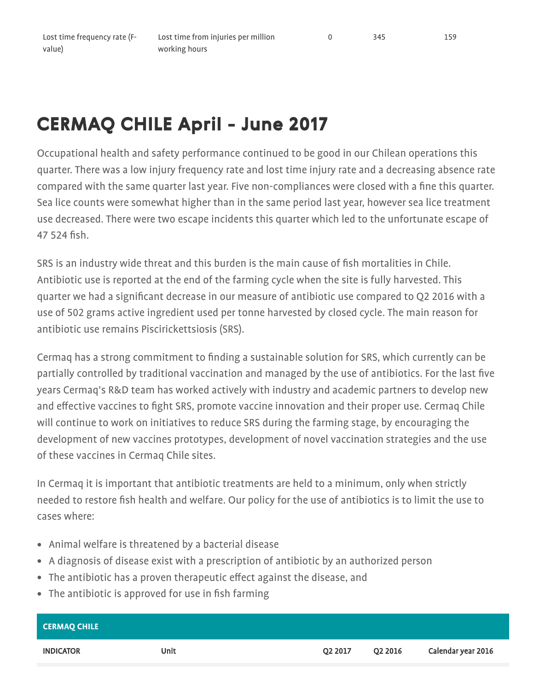Lost time from injuries per million working hours

### **CERMAQ CHILE April - June 2017**

Occupational health and safety performance continued to be good in our Chilean operations this quarter. There was a low injury frequency rate and lost time injury rate and a decreasing absence rate compared with the same quarter last year. Five non-compliances were closed with a fine this quarter. Sea lice counts were somewhat higher than in the same period last year, however sea lice treatment use decreased. There were two escape incidents this quarter which led to the unfortunate escape of 47 524 fish.

SRS is an industry wide threat and this burden is the main cause of fish mortalities in Chile. Antibiotic use is reported at the end of the farming cycle when the site is fully harvested. This quarter we had a significant decrease in our measure of antibiotic use compared to Q2 2016 with a use of 502 grams active ingredient used per tonne harvested by closed cycle. The main reason for antibiotic use remains Piscirickettsiosis (SRS).

Cermaq has a strong commitment to finding a sustainable solution for SRS, which currently can be partially controlled by traditional vaccination and managed by the use of antibiotics. For the last five years Cermaq's R&D team has worked actively with industry and academic partners to develop new and effective vaccines to fight SRS, promote vaccine innovation and their proper use. Cermaq Chile will continue to work on initiatives to reduce SRS during the farming stage, by encouraging the development of new vaccines prototypes, development of novel vaccination strategies and the use of these vaccines in Cermaq Chile sites.

In Cermaq it is important that antibiotic treatments are held to a minimum, only when strictly needed to restore fish health and welfare. Our policy for the use of antibiotics is to limit the use to cases where:

- Animal welfare is threatened by a bacterial disease
- A diagnosis of disease exist with a prescription of antibiotic by an authorized person
- The antibiotic has a proven therapeutic effect against the disease, and
- The antibiotic is approved for use in fish farming

| <b>CERMAQ CHILE</b> |             |         |                     |                    |
|---------------------|-------------|---------|---------------------|--------------------|
| <b>INDICATOR</b>    | <b>Unit</b> | Q2 2017 | O <sub>2</sub> 2016 | Calendar year 2016 |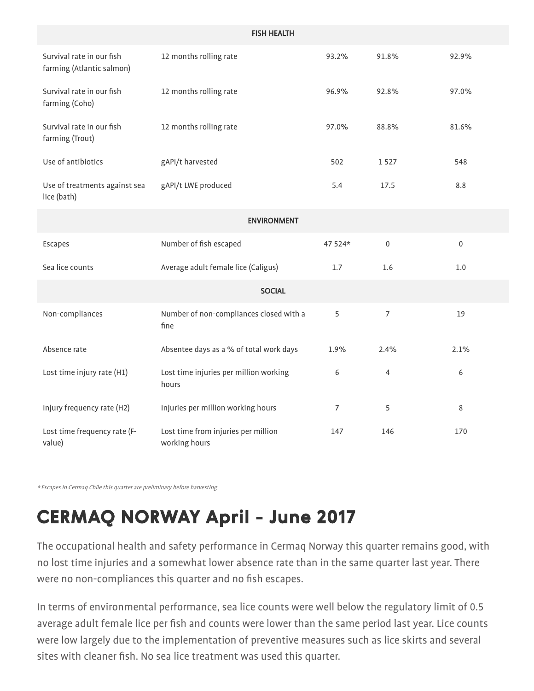| <b>FISH HEALTH</b>                                     |                                                      |                |                |                  |  |  |  |
|--------------------------------------------------------|------------------------------------------------------|----------------|----------------|------------------|--|--|--|
| Survival rate in our fish<br>farming (Atlantic salmon) | 12 months rolling rate                               | 93.2%          | 91.8%          | 92.9%            |  |  |  |
| Survival rate in our fish<br>farming (Coho)            | 12 months rolling rate                               | 96.9%          | 92.8%          | 97.0%            |  |  |  |
| Survival rate in our fish<br>farming (Trout)           | 12 months rolling rate                               | 97.0%          | 88.8%          | 81.6%            |  |  |  |
| Use of antibiotics                                     | gAPI/t harvested                                     | 502            | 1527           | 548              |  |  |  |
| Use of treatments against sea<br>lice (bath)           | gAPI/t LWE produced                                  | 5.4            | 17.5           | 8.8              |  |  |  |
| <b>ENVIRONMENT</b>                                     |                                                      |                |                |                  |  |  |  |
| Escapes                                                | Number of fish escaped                               | 47 524*        | $\mathbf 0$    | $\boldsymbol{0}$ |  |  |  |
| Sea lice counts                                        | Average adult female lice (Caligus)                  | 1.7            | 1.6            | $1.0$            |  |  |  |
| <b>SOCIAL</b>                                          |                                                      |                |                |                  |  |  |  |
| Non-compliances                                        | Number of non-compliances closed with a<br>fine      | 5              | $\overline{7}$ | 19               |  |  |  |
| Absence rate                                           | Absentee days as a % of total work days              | 1.9%           | 2.4%           | 2.1%             |  |  |  |
| Lost time injury rate (H1)                             | Lost time injuries per million working<br>hours      | 6              | $\overline{4}$ | 6                |  |  |  |
| Injury frequency rate (H2)                             | Injuries per million working hours                   | $\overline{7}$ | 5              | 8                |  |  |  |
| Lost time frequency rate (F-<br>value)                 | Lost time from injuries per million<br>working hours | 147            | 146            | 170              |  |  |  |

\* Escapes in Cermaq Chile this quarter are preliminary before harvesting

# **CERMAQ NORWAY April - June 2017**

The occupational health and safety performance in Cermaq Norway this quarter remains good, with no lost time injuries and a somewhat lower absence rate than in the same quarter last year. There were no non-compliances this quarter and no fish escapes.

In terms of environmental performance, sea lice counts were well below the regulatory limit of 0.5 average adult female lice per fish and counts were lower than the same period last year. Lice counts were low largely due to the implementation of preventive measures such as lice skirts and several sites with cleaner fish. No sea lice treatment was used this quarter.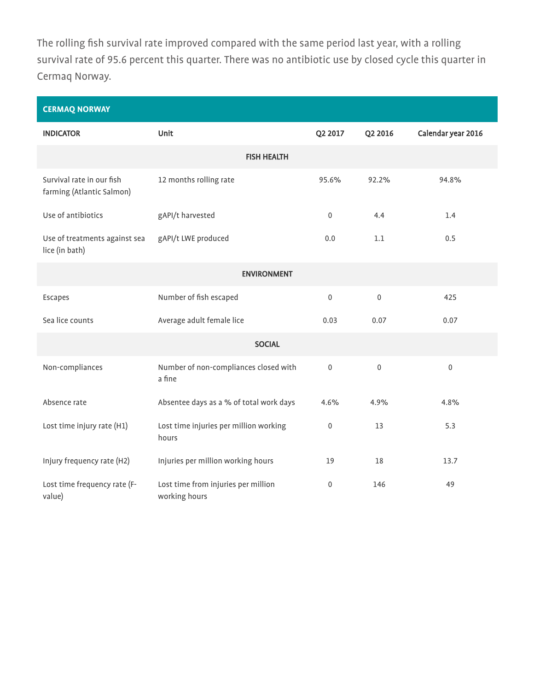The rolling fish survival rate improved compared with the same period last year, with a rolling survival rate of 95.6 percent this quarter. There was no antibiotic use by closed cycle this quarter in Cermaq Norway.

| <b>CERMAQ NORWAY</b>                                   |                                                      |                  |                  |                    |  |  |  |
|--------------------------------------------------------|------------------------------------------------------|------------------|------------------|--------------------|--|--|--|
| <b>INDICATOR</b>                                       | <b>Unit</b>                                          | Q2 2017          | Q2 2016          | Calendar year 2016 |  |  |  |
| <b>FISH HEALTH</b>                                     |                                                      |                  |                  |                    |  |  |  |
| Survival rate in our fish<br>farming (Atlantic Salmon) | 12 months rolling rate                               | 95.6%            | 92.2%            | 94.8%              |  |  |  |
| Use of antibiotics                                     | gAPI/t harvested                                     | $\mathbf 0$      | 4.4              | 1.4                |  |  |  |
| Use of treatments against sea<br>lice (in bath)        | gAPI/t LWE produced                                  | 0.0              | 1.1              | 0.5                |  |  |  |
| <b>ENVIRONMENT</b>                                     |                                                      |                  |                  |                    |  |  |  |
| Escapes                                                | Number of fish escaped                               | $\mathbf 0$      | $\boldsymbol{0}$ | 425                |  |  |  |
| Sea lice counts                                        | Average adult female lice                            | 0.03             | 0.07             | 0.07               |  |  |  |
| <b>SOCIAL</b>                                          |                                                      |                  |                  |                    |  |  |  |
| Non-compliances                                        | Number of non-compliances closed with<br>a fine      | $\mathbf 0$      | $\boldsymbol{0}$ | $\boldsymbol{0}$   |  |  |  |
| Absence rate                                           | Absentee days as a % of total work days              | 4.6%             | 4.9%             | 4.8%               |  |  |  |
| Lost time injury rate (H1)                             | Lost time injuries per million working<br>hours      | $\boldsymbol{0}$ | 13               | 5.3                |  |  |  |
| Injury frequency rate (H2)                             | Injuries per million working hours                   | 19               | 18               | 13.7               |  |  |  |
| Lost time frequency rate (F-<br>value)                 | Lost time from injuries per million<br>working hours | $\mathbf 0$      | 146              | 49                 |  |  |  |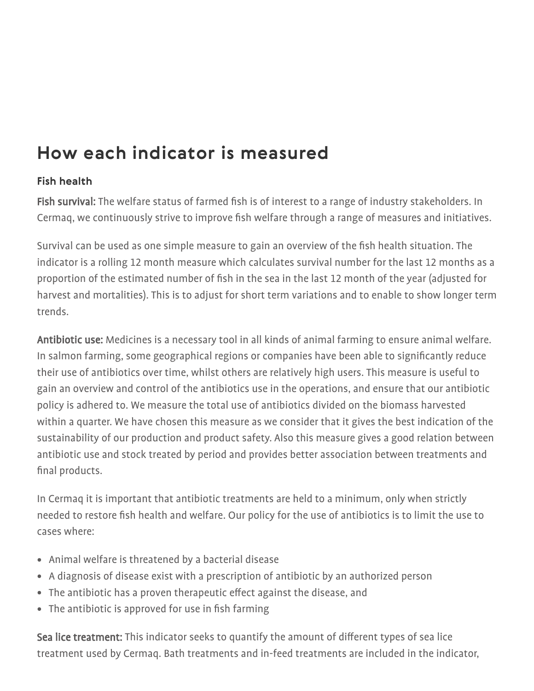## **How each indicator is measured**

### **Fish health**

Fish survival: The welfare status of farmed fish is of interest to a range of industry stakeholders. In Cermaq, we continuously strive to improve fish welfare through a range of measures and initiatives.

Survival can be used as one simple measure to gain an overview of the fish health situation. The indicator is a rolling 12 month measure which calculates survival number for the last 12 months as a proportion of the estimated number of fish in the sea in the last 12 month of the year (adjusted for harvest and mortalities). This is to adjust for short term variations and to enable to show longer term trends.

Antibiotic use: Medicines is a necessary tool in all kinds of animal farming to ensure animal welfare. In salmon farming, some geographical regions or companies have been able to significantly reduce their use of antibiotics over time, whilst others are relatively high users. This measure is useful to gain an overview and control of the antibiotics use in the operations, and ensure that our antibiotic policy is adhered to. We measure the total use of antibiotics divided on the biomass harvested within a quarter. We have chosen this measure as we consider that it gives the best indication of the sustainability of our production and product safety. Also this measure gives a good relation between antibiotic use and stock treated by period and provides better association between treatments and final products.

In Cermaq it is important that antibiotic treatments are held to a minimum, only when strictly needed to restore fish health and welfare. Our policy for the use of antibiotics is to limit the use to cases where:

- Animal welfare is threatened by a bacterial disease
- A diagnosis of disease exist with a prescription of antibiotic by an authorized person
- The antibiotic has a proven therapeutic effect against the disease, and
- The antibiotic is approved for use in fish farming

Sea lice treatment: This indicator seeks to quantify the amount of different types of sea lice treatment used by Cermaq. Bath treatments and in-feed treatments are included in the indicator,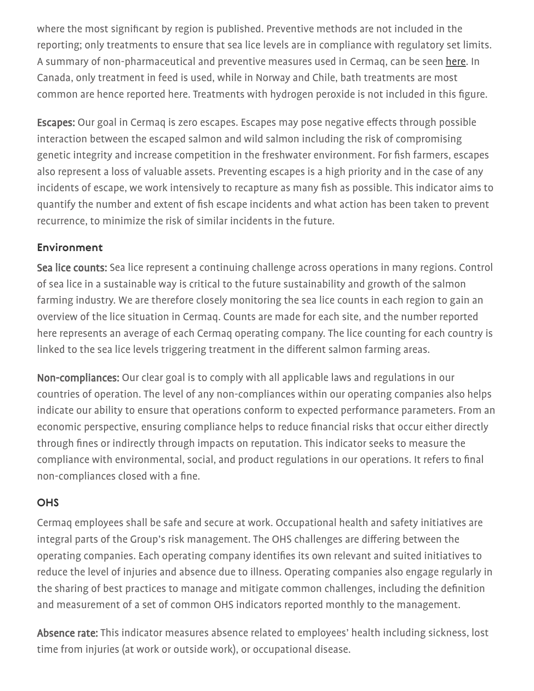where the most significant by region is published. Preventive methods are not included in the reporting; only treatments to ensure that sea lice levels are in compliance with regulatory set limits. A summary of non-pharmaceutical and preventive measures used in Cermaq, can be seen [here](http://globalsalmoninitiative.org/sustainability-report/). In Canada, only treatment in feed is used, while in Norway and Chile, bath treatments are most common are hence reported here. Treatments with hydrogen peroxide is not included in this figure.

**Escapes:** Our goal in Cermaq is zero escapes. Escapes may pose negative effects through possible interaction between the escaped salmon and wild salmon including the risk of compromising genetic integrity and increase competition in the freshwater environment. For fish farmers, escapes also represent a loss of valuable assets. Preventing escapes is a high priority and in the case of any incidents of escape, we work intensively to recapture as many fish as possible. This indicator aims to quantify the number and extent of fish escape incidents and what action has been taken to prevent recurrence, to minimize the risk of similar incidents in the future.

#### **Environment**

Sea lice counts: Sea lice represent a continuing challenge across operations in many regions. Control of sea lice in a sustainable way is critical to the future sustainability and growth of the salmon farming industry. We are therefore closely monitoring the sea lice counts in each region to gain an overview of the lice situation in Cermaq. Counts are made for each site, and the number reported here represents an average of each Cermaq operating company. The lice counting for each country is linked to the sea lice levels triggering treatment in the different salmon farming areas.

Non-compliances: Our clear goal is to comply with all applicable laws and regulations in our countries of operation. The level of any non-compliances within our operating companies also helps indicate our ability to ensure that operations conform to expected performance parameters. From an economic perspective, ensuring compliance helps to reduce financial risks that occur either directly through fines or indirectly through impacts on reputation. This indicator seeks to measure the compliance with environmental, social, and product regulations in our operations. It refers to final non-compliances closed with a fine.

### **OHS**

Cermaq employees shall be safe and secure at work. Occupational health and safety initiatives are integral parts of the Group's risk management. The OHS challenges are differing between the operating companies. Each operating company identifies its own relevant and suited initiatives to reduce the level of injuries and absence due to illness. Operating companies also engage regularly in the sharing of best practices to manage and mitigate common challenges, including the definition and measurement of a set of common OHS indicators reported monthly to the management.

Absence rate: This indicator measures absence related to employees' health including sickness, lost time from injuries (at work or outside work), or occupational disease.